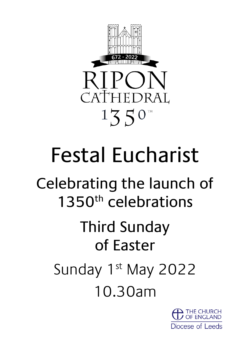

# Festal Eucharist

## Celebrating the launch of 1350<sup>th</sup> celebrations

## Third Sunday of Easter

## Sunday 1<sup>st</sup> May 2022 10.30am

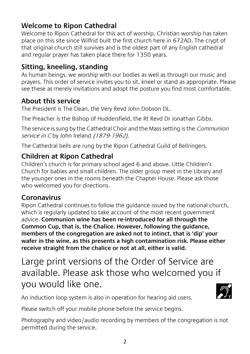#### **Welcome to Ripon Cathedral**

Welcome to Ripon Cathedral for this act of worship. Christian worship has taken place on this site since Wilfrid built the first church here in 672AD. The crypt of that original church still survives and is the oldest part of any English cathedral and regular prayer has taken place there for 1350 years.

#### **Sitting, kneeling, standing**

As human beings, we worship with our bodies as well as through our music and prayers. This order of service invites you to sit, kneel or stand as appropriate. Please see these as merely invitations and adopt the posture you find most comfortable.

#### **About this service**

The President is The Dean, the Very Revd John Dobson DL.

The Preacher is the Bishop of Huddersfield, the Rt Revd Dr Jonathan Gibbs.

The service is sung by the Cathedral Choir and the Mass setting is the *Communion* service in C by John Ireland (1879-1962).

The Cathedral bells are rung by the Ripon Cathedral Guild of Bellringers.

#### **Children at Ripon Cathedral**

Children's church is for primary school aged 6 and above. Little Children's Church for babies and small children. The older group meet in the Library and the younger ones in the rooms beneath the Chapter House. Please ask those who welcomed you for directions.

#### **Coronavirus**

Ripon Cathedral continues to follow the guidance issued by the national church, which is regularly updated to take account of the most recent government advice. **Communion wine has been re-introduced for all through the Common Cup, that is, the Chalice. However, following the guidance, members of the congregation are asked not to intinct, that is 'dip' your wafer in the wine, as this presents a high contamination risk. Please either receive straight from the chalice or not at all, either is valid.**

Large print versions of the Order of Service are available. Please ask those who welcomed you if you would like one.



An induction loop system is also in operation for hearing aid users.

Please switch off your mobile phone before the service begins.

Photography and video/audio recording by members of the congregation is not permitted during the service.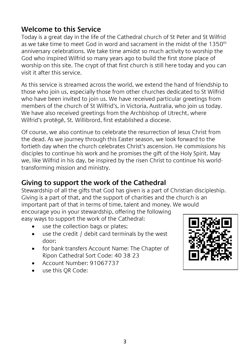#### **Welcome to this Service**

Today is a great day in the life of the Cathedral church of St Peter and St Wilfrid as we take time to meet God in word and sacrament in the midst of the 1350<sup>th</sup> anniversary celebrations. We take time amidst so much activity to worship the God who inspired Wilfrid so many years ago to build the first stone place of worship on this site. The crypt of that first church is still here today and you can visit it after this service.

As this service is streamed across the world, we extend the hand of friendship to those who join us, especially those from other churches dedicated to St Wilfrid who have been invited to join us. We have received particular greetings from members of the church of St Wilfrid's, in Victoria, Australia, who join us today. We have also received greetings from the Archbishop of Utrecht, where Wilfrid's protégé, St. Willibrord, first established a diocese.

Of course, we also continue to celebrate the resurrection of Jesus Christ from the dead. As we journey through this Easter season, we look forward to the fortieth day when the church celebrates Christ's ascension. He commissions his disciples to continue his work and he promises the gift of the Holy Spirit. May we, like Wilfrid in his day, be inspired by the risen Christ to continue his worldtransforming mission and ministry.

#### **Giving to support the work of the Cathedral**

Stewardship of all the gifts that God has given is a part of Christian discipleship. Giving is a part of that, and the support of charities and the church is an important part of that in terms of time, talent and money. We would encourage you in your stewardship, offering the following

easy ways to support the work of the Cathedral:

- use the collection bags or plates;
- use the credit / debit card terminals by the west door;
- for bank transfers Account Name: The Chapter of Ripon Cathedral Sort Code: 40 38 23
- Account Number: 91067737
- use this OR Code:

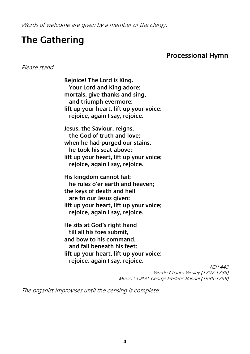Words of welcome are given by a member of the clergy.

## **The Gathering**

#### **Processional Hymn**

Please stand.

**Rejoice! The Lord is King. Your Lord and King adore; mortals, give thanks and sing, and triumph evermore: lift up your heart, lift up your voice; rejoice, again I say, rejoice.**

**Jesus, the Saviour, reigns, the God of truth and love; when he had purged our stains, he took his seat above: lift up your heart, lift up your voice; rejoice, again I say, rejoice.**

**His kingdom cannot fail; he rules o'er earth and heaven; the keys of death and hell are to our Jesus given: lift up your heart, lift up your voice; rejoice, again I say, rejoice.**

**He sits at God's right hand till all his foes submit, and bow to his command, and fall beneath his feet: lift up your heart, lift up your voice; rejoice, again I say, rejoice.**

> NEH 443 Words: Charles Wesley (1707-1788) Music: GOPSAL George Frederic Handel (1685-1759)

The organist improvises until the censing is complete.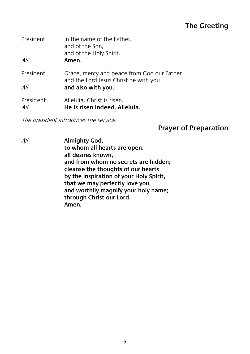#### **The Greeting**

| President<br>All | In the name of the Father,<br>and of the Son,<br>and of the Holy Spirit.<br>Amen.   |
|------------------|-------------------------------------------------------------------------------------|
| President        | Grace, mercy and peace from God our Father<br>and the Lord Jesus Christ be with you |
| All              | and also with you.                                                                  |
| President<br>AII | Alleluia. Christ is risen.<br>He is risen indeed. Alleluia.                         |

The president introduces the service.

#### **Prayer of Preparation**

All **Almighty God, to whom all hearts are open, all desires known, and from whom no secrets are hidden; cleanse the thoughts of our hearts by the inspiration of your Holy Spirit, that we may perfectly love you, and worthily magnify your holy name; through Christ our Lord. Amen.**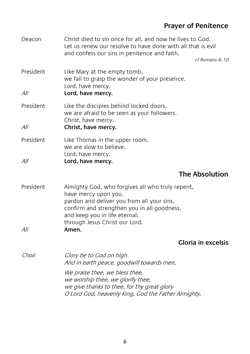### **Prayer of Penitence**

| Deacon    | Christ died to sin once for all, and now he lives to God.<br>Let us renew our resolve to have done with all that is evil<br>and confess our sins in penitence and faith.<br>cf Romans 6.10                                               |
|-----------|------------------------------------------------------------------------------------------------------------------------------------------------------------------------------------------------------------------------------------------|
| President | Like Mary at the empty tomb,<br>we fail to grasp the wonder of your presence.<br>Lord, have mercy.                                                                                                                                       |
| All       | Lord, have mercy.                                                                                                                                                                                                                        |
| President | Like the disciples behind locked doors,<br>we are afraid to be seen as your followers.<br>Christ, have mercy.                                                                                                                            |
| All       | Christ, have mercy.                                                                                                                                                                                                                      |
| President | Like Thomas in the upper room,<br>we are slow to believe.<br>Lord, have mercy.                                                                                                                                                           |
| All       | Lord, have mercy.                                                                                                                                                                                                                        |
|           | <b>The Absolution</b>                                                                                                                                                                                                                    |
| President | Almighty God, who forgives all who truly repent,<br>have mercy upon you,<br>pardon and deliver you from all your sins,<br>confirm and strengthen you in all goodness,<br>and keep you in life eternal;<br>through Jesus Christ our Lord. |
| All       | Amen.                                                                                                                                                                                                                                    |
|           | Gloria in excelsis                                                                                                                                                                                                                       |
| Choir     | Glory be to God on high<br>And in earth peace, goodwill towards men,                                                                                                                                                                     |
|           | We praise thee, we bless thee,<br>we worship thee, we glorify thee,<br>we give thanks to thee, for thy great glory<br>O Lord God, heavenly King, God the Father Almighty.                                                                |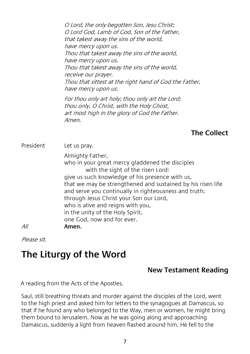O Lord, the only-begotten Son, Jesu Christ; O Lord God, Lamb of God, Son of the Father, that takest away the sins of the world, have mercy upon us. Thou that takest away the sins of the world, have mercy upon us. Thou that takest away the sins of the world, receive our prayer. Thou that sittest at the right hand of God the Father, have mercy upon us. For thou only art holy; thou only art the Lord; thou only, O Christ, with the Holy Ghost, art most high in the glory of God the Father. Amen. **The Collect**

President Let us pray.

Almighty Father, who in your great mercy gladdened the disciples with the sight of the risen Lord: give us such knowledge of his presence with us, that we may be strengthened and sustained by his risen life and serve you continually in righteousness and truth; through Jesus Christ your Son our Lord, who is alive and reigns with you, in the unity of the Holy Spirit, one God, now and for ever. All **Amen.**

Please sit.

## **The Liturgy of the Word**

#### **New Testament Reading**

A reading from the Acts of the Apostles.

Saul, still breathing threats and murder against the disciples of the Lord, went to the high priest and asked him for letters to the synagogues at Damascus, so that if he found any who belonged to the Way, men or women, he might bring them bound to Jerusalem. Now as he was going along and approaching Damascus, suddenly a light from heaven flashed around him. He fell to the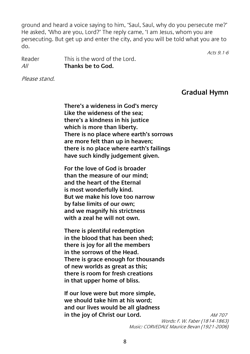ground and heard a voice saying to him, 'Saul, Saul, why do you persecute me?' He asked, 'Who are you, Lord?' The reply came, 'I am Jesus, whom you are persecuting. But get up and enter the city, and you will be told what you are to do.

Acts 9.1-6

Reader This is the word of the Lord. All **Thanks be to God.**

Please stand.

#### **Gradual Hymn**

**There's a wideness in God's mercy Like the wideness of the sea; there's a kindness in his justice which is more than liberty. There is no place where earth's sorrows are more felt than up in heaven; there is no place where earth's failings have such kindly judgement given.**

**For the love of God is broader than the measure of our mind; and the heart of the Eternal is most wonderfully kind. But we make his love too narrow by false limits of our own; and we magnify his strictness with a zeal he will not own.**

**There is plentiful redemption in the blood that has been shed; there is joy for all the members in the sorrows of the Head. There is grace enough for thousands of new worlds as great as this; there is room for fresh creations in that upper home of bliss.**

**If our love were but more simple, we should take him at his word; and our lives would be all gladness in the joy of Christ our Lord.** AM 707

Words: F. W. Faber (1814-1863) Music: CORVEDALE Maurice Bevan (1921-2006)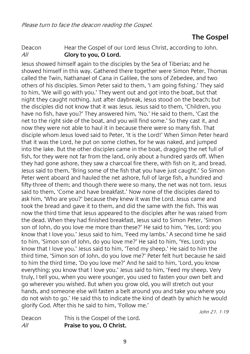Deacon Hear the Gospel of our Lord Jesus Christ, according to John.<br>All Clory to you, O Lord Glory to you, O Lord.

Jesus showed himself again to the disciples by the Sea of Tiberias; and he showed himself in this way. Gathered there together were Simon Peter, Thomas called the Twin, Nathanael of Cana in Galilee, the sons of Zebedee, and two others of his disciples. Simon Peter said to them, 'I am going fishing.' They said to him, 'We will go with you.' They went out and got into the boat, but that night they caught nothing. Just after daybreak, Jesus stood on the beach; but the disciples did not know that it was Jesus. Jesus said to them, 'Children, you have no fish, have you?' They answered him, 'No.' He said to them, 'Cast the net to the right side of the boat, and you will find some.' So they cast it, and now they were not able to haul it in because there were so many fish. That disciple whom Jesus loved said to Peter, 'It is the Lord!' When Simon Peter heard that it was the Lord, he put on some clothes, for he was naked, and jumped into the lake. But the other disciples came in the boat, dragging the net full of fish, for they were not far from the land, only about a hundred yards off. When they had gone ashore, they saw a charcoal fire there, with fish on it, and bread. Jesus said to them, 'Bring some of the fish that you have just caught.' So Simon Peter went aboard and hauled the net ashore, full of large fish, a hundred and fifty-three of them; and though there were so many, the net was not torn. Jesus said to them, 'Come and have breakfast.' Now none of the disciples dared to ask him, 'Who are you?' because they knew it was the Lord. Jesus came and took the bread and gave it to them, and did the same with the fish. This was now the third time that Jesus appeared to the disciples after he was raised from the dead. When they had finished breakfast, Jesus said to Simon Peter, 'Simon son of John, do you love me more than these?' He said to him, 'Yes, Lord; you know that I love you.' Jesus said to him, 'Feed my lambs.' A second time he said to him, 'Simon son of John, do you love me?' He said to him, 'Yes, Lord; you know that I love you.' Jesus said to him, 'Tend my sheep.' He said to him the third time, 'Simon son of John, do you love me?' Peter felt hurt because he said to him the third time, 'Do you love me?' And he said to him, 'Lord, you know everything; you know that I love you.' Jesus said to him, 'Feed my sheep. Very truly, I tell you, when you were younger, you used to fasten your own belt and go wherever you wished. But when you grow old, you will stretch out your hands, and someone else will fasten a belt around you and take you where you do not wish to go.' He said this to indicate the kind of death by which he would glorify God. After this he said to him, 'Follow me.'

 $John 21 1-19$ 

Deacon This is the Gospel of the Lord. All **Praise to you, O Christ.**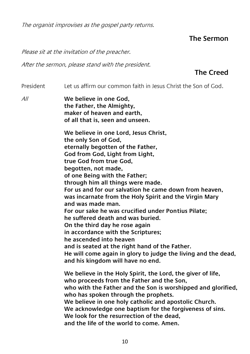The organist improvises as the gospel party returns.

#### **The Sermon**

Please sit at the invitation of the preacher.

After the sermon, please stand with the president.

#### **The Creed**

| President | Let us affirm our common faith in Jesus Christ the Son of God.                                                                                                                                                                                                                                                                                                                                                                                                                                                                                                                                                                                                                                                                                                |  |  |  |
|-----------|---------------------------------------------------------------------------------------------------------------------------------------------------------------------------------------------------------------------------------------------------------------------------------------------------------------------------------------------------------------------------------------------------------------------------------------------------------------------------------------------------------------------------------------------------------------------------------------------------------------------------------------------------------------------------------------------------------------------------------------------------------------|--|--|--|
| All       | We believe in one God,<br>the Father, the Almighty,<br>maker of heaven and earth,<br>of all that is, seen and unseen.                                                                                                                                                                                                                                                                                                                                                                                                                                                                                                                                                                                                                                         |  |  |  |
|           | We believe in one Lord, Jesus Christ,<br>the only Son of God,<br>eternally begotten of the Father,<br>God from God, Light from Light,<br>true God from true God,<br>begotten, not made,<br>of one Being with the Father;<br>through him all things were made.<br>For us and for our salvation he came down from heaven,<br>was incarnate from the Holy Spirit and the Virgin Mary<br>and was made man.<br>For our sake he was crucified under Pontius Pilate:<br>he suffered death and was buried.<br>On the third day he rose again<br>in accordance with the Scriptures;<br>he ascended into heaven<br>and is seated at the right hand of the Father.<br>He will come again in glory to judge the living and the dead,<br>and his kingdom will have no end. |  |  |  |
|           | We believe in the Holy Spirit, the Lord, the giver of life,<br>who proceeds from the Father and the Son,<br>who with the Father and the Son is worshipped and glorified,<br>who has spoken through the prophets.<br>We believe in one holy catholic and apostolic Church.<br>We acknowledge one baptism for the forgiveness of sins.<br>We look for the resurrection of the dead,<br>and the life of the world to come. Amen.                                                                                                                                                                                                                                                                                                                                 |  |  |  |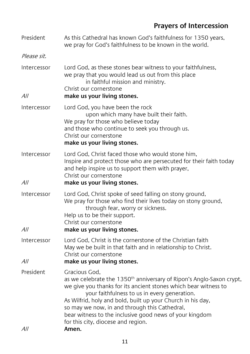## **Prayers of Intercession**

| President          | As this Cathedral has known God's faithfulness for 1350 years,<br>we pray for God's faithfulness to be known in the world.                                                                                                                                                                                                                                                                                                            |  |  |
|--------------------|---------------------------------------------------------------------------------------------------------------------------------------------------------------------------------------------------------------------------------------------------------------------------------------------------------------------------------------------------------------------------------------------------------------------------------------|--|--|
| Please sit.        |                                                                                                                                                                                                                                                                                                                                                                                                                                       |  |  |
| Intercessor        | Lord God, as these stones bear witness to your faithfulness,<br>we pray that you would lead us out from this place<br>in faithful mission and ministry.                                                                                                                                                                                                                                                                               |  |  |
| All                | Christ our cornerstone<br>make us your living stones.                                                                                                                                                                                                                                                                                                                                                                                 |  |  |
| Intercessor        | Lord God, you have been the rock<br>upon which many have built their faith.<br>We pray for those who believe today<br>and those who continue to seek you through us.<br>Christ our cornerstone<br>make us your living stones.                                                                                                                                                                                                         |  |  |
| Intercessor<br>All | Lord God, Christ faced those who would stone him,<br>Inspire and protect those who are persecuted for their faith today<br>and help inspire us to support them with prayer,<br>Christ our cornerstone<br>make us your living stones.                                                                                                                                                                                                  |  |  |
| Intercessor        | Lord God, Christ spoke of seed falling on stony ground,<br>We pray for those who find their lives today on stony ground,<br>through fear, worry or sickness.<br>Help us to be their support.<br>Christ our cornerstone                                                                                                                                                                                                                |  |  |
| All                | make us your living stones.                                                                                                                                                                                                                                                                                                                                                                                                           |  |  |
| Intercessor        | Lord God, Christ is the cornerstone of the Christian faith<br>May we be built in that faith and in relationship to Christ.<br>Christ our cornerstone                                                                                                                                                                                                                                                                                  |  |  |
| All                | make us your living stones.                                                                                                                                                                                                                                                                                                                                                                                                           |  |  |
| President          | Gracious God.<br>as we celebrate the 1350 <sup>th</sup> anniversary of Ripon's Anglo-Saxon crypt,<br>we give you thanks for its ancient stones which bear witness to<br>your faithfulness to us in every generation.<br>As Wilfrid, holy and bold, built up your Church in his day,<br>so may we now, in and through this Cathedral,<br>bear witness to the inclusive good news of your kingdom<br>for this city, diocese and region. |  |  |
| All                | Amen.                                                                                                                                                                                                                                                                                                                                                                                                                                 |  |  |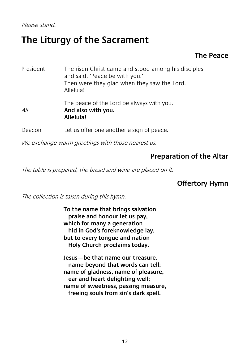Please stand.

### **The Liturgy of the Sacrament**

#### **The Peace**

| President | The risen Christ came and stood among his disciples<br>and said, 'Peace be with you.'<br>Then were they glad when they saw the Lord.<br>Alleluia! |
|-----------|---------------------------------------------------------------------------------------------------------------------------------------------------|
| All       | The peace of the Lord be always with you.<br>And also with you.<br>Alleluia!                                                                      |
| Deacon    | Let us offer one another a sign of peace.                                                                                                         |

We exchange warm greetings with those nearest us.

#### **Preparation of the Altar**

The table is prepared, the bread and wine are placed on it.

#### **Offertory Hymn**

The collection is taken during this hymn.

**To the name that brings salvation praise and honour let us pay, which for many a generation hid in God's foreknowledge lay, but to every tongue and nation Holy Church proclaims today.**

**Jesus—be that name our treasure, name beyond that words can tell; name of gladness, name of pleasure, ear and heart delighting well; name of sweetness, passing measure, freeing souls from sin's dark spell.**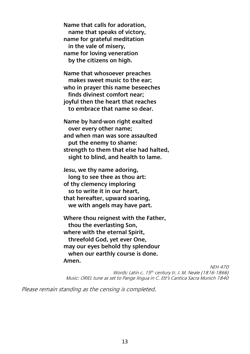**Name that calls for adoration, name that speaks of victory, name for grateful meditation in the vale of misery, name for loving veneration by the citizens on high.**

**Name that whosoever preaches makes sweet music to the ear; who in prayer this name beseeches finds divinest comfort near; joyful then the heart that reaches to embrace that name so dear.**

**Name by hard-won right exalted over every other name; and when man was sore assaulted put the enemy to shame: strength to them that else had halted, sight to blind, and health to lame.**

**Jesu, we thy name adoring, long to see thee as thou art: of thy clemency imploring so to write it in our heart, that hereafter, upward soaring, we with angels may have part.**

**Where thou reignest with the Father, thou the everlasting Son, where with the eternal Spirit, threefold God, yet ever One, may our eyes behold thy splendour when our earthly course is done. Amen.**

NEH 470 Words: Latin c. 15<sup>th</sup> century tr. J. M. Neale (1816-1866) Music: ORIEL tune as set to Pange lingua in C. Ett's Cantica Sacra Munich 1840

Please remain standing as the censing is completed.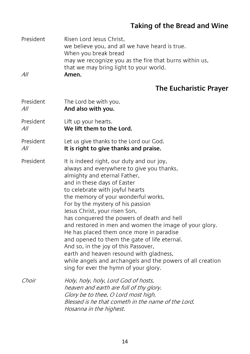#### **Taking of the Bread and Wine**

President Risen Lord Jesus Christ, we believe you, and all we have heard is true. When you break bread may we recognize you as the fire that burns within us, that we may bring light to your world. All **Amen.**

#### **The Eucharistic Prayer**

| President | The Lord be with you.                                                                                                                                                                                                                                                                                                                                                                                                                                                                                                                                                                                                                                                                               |  |  |
|-----------|-----------------------------------------------------------------------------------------------------------------------------------------------------------------------------------------------------------------------------------------------------------------------------------------------------------------------------------------------------------------------------------------------------------------------------------------------------------------------------------------------------------------------------------------------------------------------------------------------------------------------------------------------------------------------------------------------------|--|--|
| All       | And also with you.                                                                                                                                                                                                                                                                                                                                                                                                                                                                                                                                                                                                                                                                                  |  |  |
| President | Lift up your hearts.                                                                                                                                                                                                                                                                                                                                                                                                                                                                                                                                                                                                                                                                                |  |  |
| All       | We lift them to the Lord.                                                                                                                                                                                                                                                                                                                                                                                                                                                                                                                                                                                                                                                                           |  |  |
| President | Let us give thanks to the Lord our God.                                                                                                                                                                                                                                                                                                                                                                                                                                                                                                                                                                                                                                                             |  |  |
| All       | It is right to give thanks and praise.                                                                                                                                                                                                                                                                                                                                                                                                                                                                                                                                                                                                                                                              |  |  |
| President | It is indeed right, our duty and our joy,<br>always and everywhere to give you thanks,<br>almighty and eternal Father,<br>and in these days of Easter<br>to celebrate with joyful hearts<br>the memory of your wonderful works.<br>For by the mystery of his passion<br>Jesus Christ, your risen Son,<br>has conquered the powers of death and hell<br>and restored in men and women the image of your glory.<br>He has placed them once more in paradise<br>and opened to them the gate of life eternal.<br>And so, in the joy of this Passover,<br>earth and heaven resound with gladness,<br>while angels and archangels and the powers of all creation<br>sing for ever the hymn of your glory. |  |  |
| Choir     | Holy, holy, holy, Lord God of hosts,<br>heaven and earth are full of thy glory.<br>Glory be to thee, O Lord most high.<br>Blessed is he that cometh in the name of the Lord.<br>Hosanna in the highest.                                                                                                                                                                                                                                                                                                                                                                                                                                                                                             |  |  |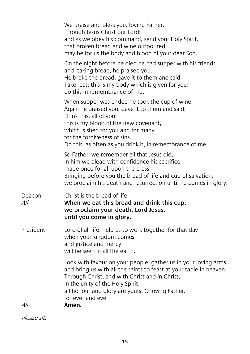|               | We praise and bless you, loving Father,<br>through Jesus Christ our Lord;<br>and as we obey his command, send your Holy Spirit,<br>that broken bread and wine outpoured<br>may be for us the body and blood of your dear Son.                                                                                 |
|---------------|---------------------------------------------------------------------------------------------------------------------------------------------------------------------------------------------------------------------------------------------------------------------------------------------------------------|
|               | On the night before he died he had supper with his friends<br>and, taking bread, he praised you.<br>He broke the bread, gave it to them and said:<br>Take, eat; this is my body which is given for you;<br>do this in remembrance of me.                                                                      |
|               | When supper was ended he took the cup of wine.<br>Again he praised you, gave it to them and said:<br>Drink this, all of you;<br>this is my blood of the new covenant,<br>which is shed for you and for many<br>for the forgiveness of sins.<br>Do this, as often as you drink it, in remembrance of me.       |
|               | So Father, we remember all that Jesus did,<br>in him we plead with confidence his sacrifice<br>made once for all upon the cross.<br>Bringing before you the bread of life and cup of salvation,<br>we proclaim his death and resurrection until he comes in glory.                                            |
| Deacon<br>All | Christ is the bread of life:<br>When we eat this bread and drink this cup,<br>we proclaim your death, Lord Jesus,<br>until you come in glory.                                                                                                                                                                 |
| President     | Lord of all life, help us to work together for that day<br>when your kingdom comes<br>and justice and mercy<br>will be seen in all the earth.                                                                                                                                                                 |
| All           | Look with favour on your people, gather us in your loving arms<br>and bring us with all the saints to feast at your table in heaven.<br>Through Christ, and with Christ and in Christ,<br>in the unity of the Holy Spirit,<br>all honour and glory are yours, O loving Father,<br>for ever and ever.<br>Amen. |

Please sit.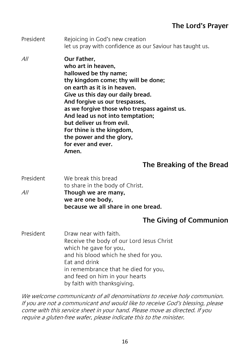#### **The Lord's Prayer**

- President Rejoicing in God's new creation let us pray with confidence as our Saviour has taught us.
- All **Our Father, who art in heaven, hallowed be thy name; thy kingdom come; thy will be done; on earth as it is in heaven. Give us this day our daily bread. And forgive us our trespasses, as we forgive those who trespass against us. And lead us not into temptation; but deliver us from evil. For thine is the kingdom, the power and the glory, for ever and ever. Amen.**

#### **The Breaking of the Bread**

President We break this bread to share in the body of Christ. All **Though we are many, we are one body, because we all share in one bread.**

#### **The Giving of Communion**

President Draw near with faith. Receive the body of our Lord Jesus Christ which he gave for you, and his blood which he shed for you. Eat and drink in remembrance that he died for you, and feed on him in your hearts by faith with thanksgiving.

We welcome communicants of all denominations to receive holy communion. If you are not a communicant and would like to receive God's blessing, please come with this service sheet in your hand. Please move as directed. If you require a gluten-free wafer, please indicate this to the minister.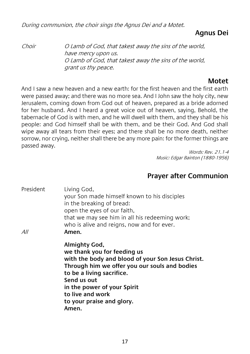During communion, the choir sings the Agnus Dei and a Motet.

#### **Agnus Dei**

Choir O Lamb of God, that takest away the sins of the world, have mercy upon us. O Lamb of God, that takest away the sins of the world, grant us thy peace.

#### **Motet**

And I saw a new heaven and a new earth: for the first heaven and the first earth were passed away; and there was no more sea. And I John saw the holy city, new Jerusalem, coming down from God out of heaven, prepared as a bride adorned for her husband. And I heard a great voice out of heaven, saying, Behold, the tabernacle of God is with men, and he will dwell with them, and they shall be his people: and God himself shall be with them, and be their God. And God shall wipe away all tears from their eyes; and there shall be no more death, neither sorrow, nor crying, neither shall there be any more pain: for the former things are passed away.

> Words: Rev. 21.1-4 Music: Edgar Bainton (1880-1956)

#### **Prayer after Communion**

| President<br>All | Living God,<br>your Son made himself known to his disciples<br>in the breaking of bread:<br>open the eyes of our faith,<br>that we may see him in all his redeeming work;<br>who is alive and reigns, now and for ever.<br>Amen.                                                        |  |  |
|------------------|-----------------------------------------------------------------------------------------------------------------------------------------------------------------------------------------------------------------------------------------------------------------------------------------|--|--|
|                  | Almighty God,<br>we thank you for feeding us<br>with the body and blood of your Son Jesus Christ.<br>Through him we offer you our souls and bodies<br>to be a living sacrifice.<br>Send us out<br>in the power of your Spirit<br>to live and work<br>to your praise and glory.<br>Amen. |  |  |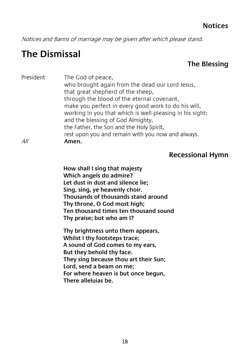Notices and Banns of marriage may be given after which please stand.

## **The Dismissal**

#### **The Blessing**

| President | The God of peace,                                        |
|-----------|----------------------------------------------------------|
|           | who brought again from the dead our Lord Jesus,          |
|           | that great shepherd of the sheep,                        |
|           | through the blood of the eternal covenant,               |
|           | make you perfect in every good work to do his will,      |
|           | working in you that which is well-pleasing in his sight; |
|           | and the blessing of God Almighty,                        |
|           | the Father, the Son and the Holy Spirit,                 |
|           | rest upon you and remain with you now and always.        |
| All       | Amen.                                                    |

#### **Recessional Hymn**

**How shall I sing that majesty Which angels do admire? Let dust in dust and silence lie; Sing, sing, ye heavenly choir. Thousands of thousands stand around Thy throne, O God most high; Ten thousand times ten thousand sound Thy praise; but who am I?**

**Thy brightness unto them appears, Whilst I thy footsteps trace; A sound of God comes to my ears, But they behold thy face. They sing because thou art their Sun; Lord, send a beam on me; For where heaven is but once begun, There alleluias be.**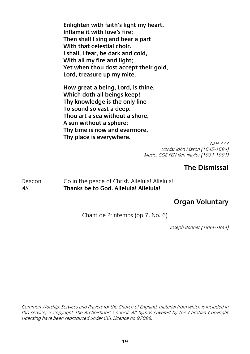**Enlighten with faith's light my heart, Inflame it with love's fire; Then shall I sing and bear a part With that celestial choir. I shall, I fear, be dark and cold, With all my fire and light; Yet when thou dost accept their gold, Lord, treasure up my mite.**

**How great a being, Lord, is thine, Which doth all beings keep! Thy knowledge is the only line To sound so vast a deep. Thou art a sea without a shore, A sun without a sphere; Thy time is now and evermore, Thy place is everywhere.**

NEH 373 Words: John Mason (1645-1694) Music: COE FEN Ken Naylor (1931-1991)

#### **The Dismissal**

Deacon Go in the peace of Christ. Alleluia! Alleluia! All **Thanks be to God. Alleluia! Alleluia!**

#### **Organ Voluntary**

Chant de Printemps (op.7, No. 6)

Joseph Bonnet (1884-1944)

Common Worship: Services and Prayers for the Church of England, material from which is included in this service, is copyright The Archbishops' Council. All hymns covered by the Christian Copyright Licensing have been reproduced under CCL Licence no 97098.